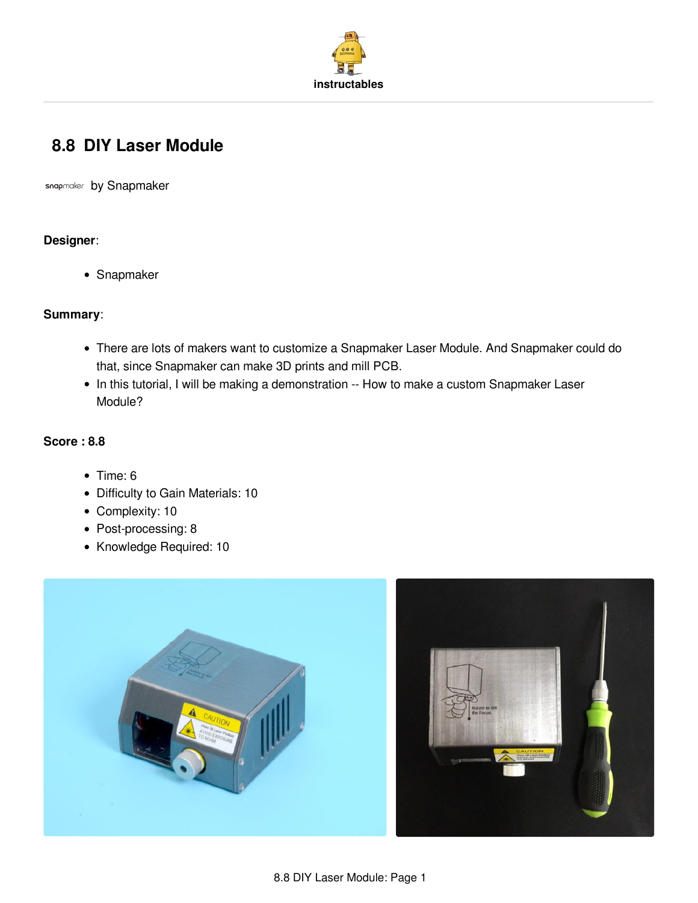

# **8.8 DIY Laser [Module](http://www.instructables.com/id/SnapmakerDIY-Laser-Module/)**

snapmaker by [Snapmaker](http://www.instructables.com/member/Snapmaker/)

### **Designer**:

• Snapmaker

### **Summary**:

- There are lots of makers want to customize a Snapmaker Laser Module. And Snapmaker could do that, since Snapmaker can make 3D prints and mill PCB.
- In this tutorial, I will be making a demonstration -- How to make a custom Snapmaker Laser Module?

### **Score : 8.8**

- $\bullet$  Time: 6
- Difficulty to Gain Materials: 10
- Complexity: 10
- Post-processing: 8
- Knowledge Required: 10

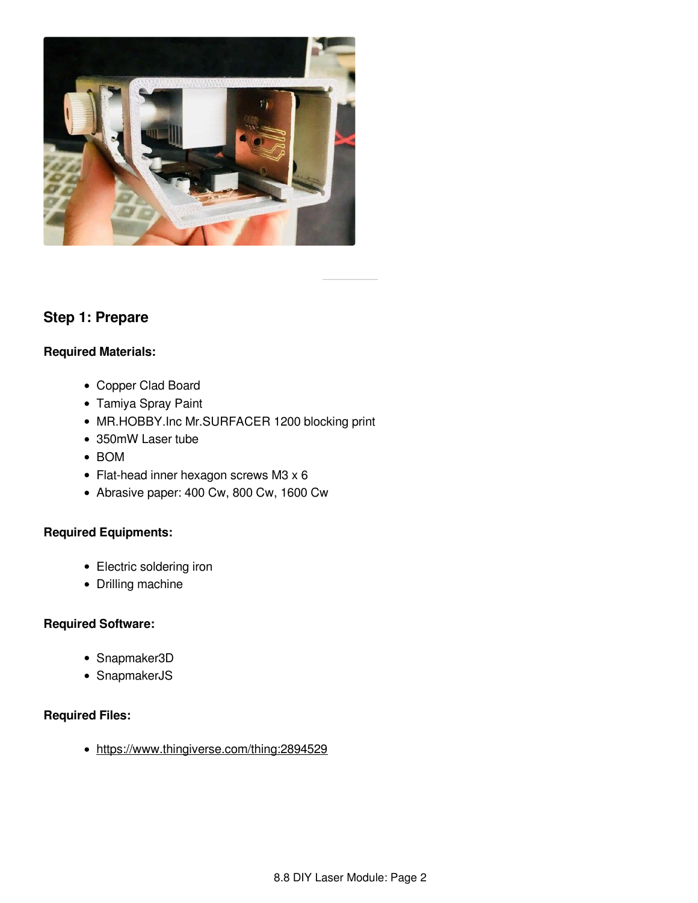

## **Step 1: Prepare**

### **Required Materials:**

- Copper Clad Board
- Tamiya Spray Paint
- MR.HOBBY.Inc Mr.SURFACER 1200 blocking print
- 350mW Laser tube
- BOM
- Flat-head inner hexagon screws M3 x 6
- Abrasive paper: 400 Cw, 800 Cw, 1600 Cw

## **Required Equipments:**

- Electric soldering iron
- Drilling machine

## **Required Software:**

- Snapmaker3D
- SnapmakerJS

## **Required Files:**

• <https://www.thingiverse.com/thing:2894529>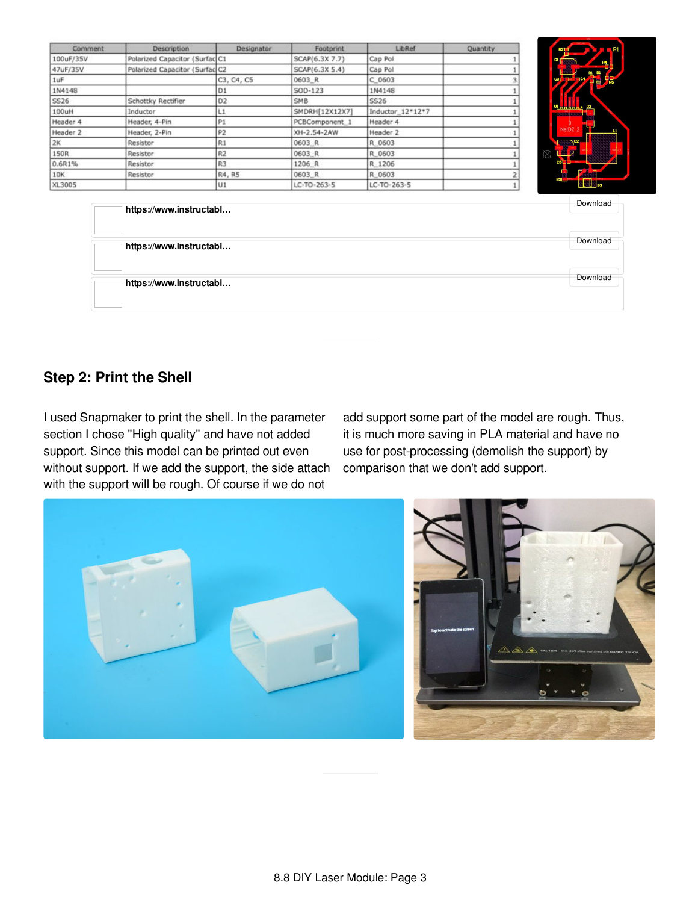| Comment   | Description                    | Designator     | Footprint      | LibRef           | Quantity |
|-----------|--------------------------------|----------------|----------------|------------------|----------|
| 100uF/35V | Polarized Capacitor (Surfac C1 |                | SCAP(6.3X 7.7) | Cap Pol          |          |
| 47uF/35V  | Polarized Capacitor (Surfac C2 |                | SCAP(6.3X 5.4) | Cap Pol          |          |
| 1uF       |                                | C3, C4, C5     | 0603 R         | C 0603           |          |
| 1N4148    |                                | D1             | SOD-123        | 1N4148           |          |
| SS26      | Schottky Rectifier             | D <sub>2</sub> | <b>SMB</b>     | SS26             |          |
| 100uH     | Inductor                       | L1             | SMDRH[12X12X7] | Inductor 12*12*7 |          |
| Header 4  | Header, 4-Pin                  | P <sub>1</sub> | PCBComponent 1 | Header 4         |          |
| Header 2  | Header, 2-Pin                  | P <sub>2</sub> | XH-2.54-2AW    | Header 2         |          |
| 2K        | Resistor                       | R1             | 0603 R         | R 0603           |          |
| 150R      | Resistor                       | R <sub>2</sub> | 0603 R         | R 0603           |          |
| 0.6R1%    | Resistor                       | R3             | 1206 R         | R 1206           |          |
| 10K       | Resistor                       | R4, R5         | 0603 R         | R 0603           |          |
| XL3005    |                                | U1             | LC-TO-263-5    | LC-TO-263-5      |          |



| https://www.instructabl | Download |
|-------------------------|----------|
| https://www.instructabl | Download |
| https://www.instructabl | Download |
|                         |          |

# **Step 2: Print the Shell**

I used Snapmaker to print the shell. In the parameter section I chose "High quality" and have not added support. Since this model can be printed out even without support. If we add the support, the side attach with the support will be rough. Of course if we do not

add support some part of the model are rough. Thus, it is much more saving in PLA material and have no use for post-processing (demolish the support) by comparison that we don't add support.



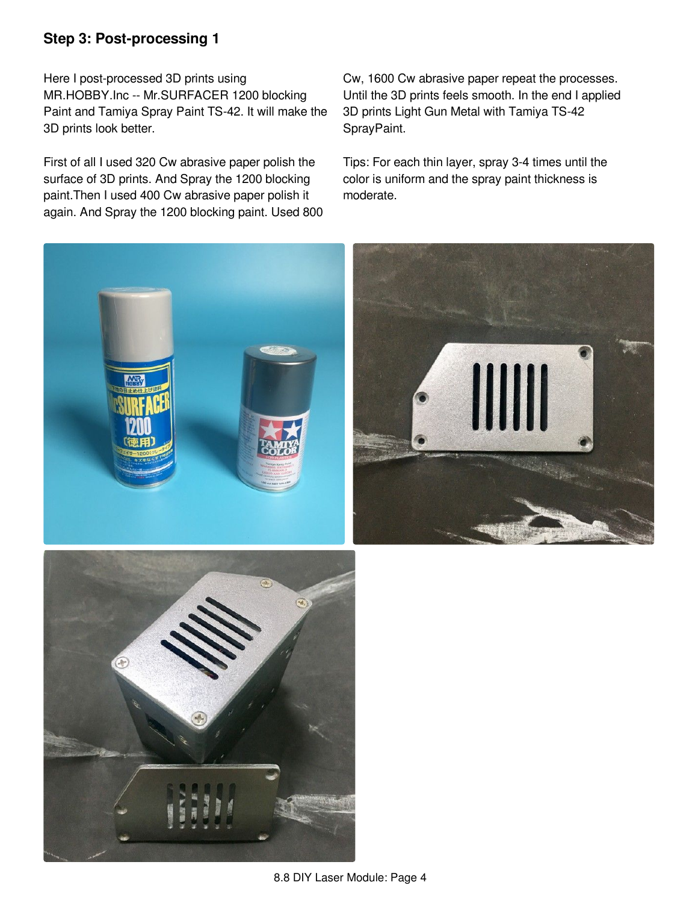# **Step 3: Post-processing 1**

Here I post-processed 3D prints using MR.HOBBY.Inc -- Mr.SURFACER 1200 blocking Paint and Tamiya Spray Paint TS-42. It will make the 3D prints look better.

First of all I used 320 Cw abrasive paper polish the surface of 3D prints. And Spray the 1200 blocking paint.Then I used 400 Cw abrasive paper polish it again. And Spray the 1200 blocking paint. Used 800 Cw, 1600 Cw abrasive paper repeat the processes. Until the 3D prints feels smooth. In the end I applied 3D prints Light Gun Metal with Tamiya TS-42 SprayPaint.

Tips: For each thin layer, spray 3-4 times until the color is uniform and the spray paint thickness is moderate.





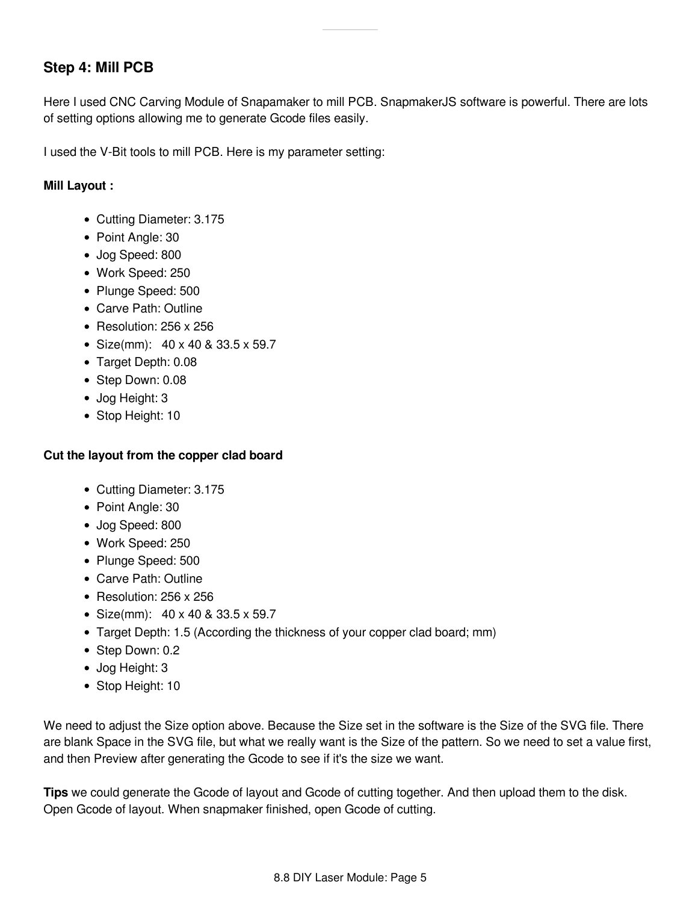# **Step 4: Mill PCB**

Here I used CNC Carving Module of Snapamaker to mill PCB. SnapmakerJS software is powerful. There are lots of setting options allowing me to generate Gcode files easily.

I used the V-Bit tools to mill PCB. Here is my parameter setting:

### **Mill Layout :**

- Cutting Diameter: 3.175
- Point Angle: 30
- Jog Speed: 800
- Work Speed: 250
- Plunge Speed: 500
- Carve Path: Outline
- Resolution: 256 x 256
- Size(mm): 40 x 40 & 33.5 x 59.7
- Target Depth: 0.08
- Step Down: 0.08
- Jog Height: 3
- Stop Height: 10

### **Cut the layout from the copper clad board**

- Cutting Diameter: 3.175
- Point Angle: 30
- Jog Speed: 800
- Work Speed: 250
- Plunge Speed: 500
- Carve Path: Outline
- Resolution:  $256 \times 256$
- Size(mm): 40 x 40 & 33.5 x 59.7
- Target Depth: 1.5 (According the thickness of your copper clad board; mm)
- Step Down: 0.2
- Jog Height: 3
- Stop Height: 10

We need to adjust the Size option above. Because the Size set in the software is the Size of the SVG file. There are blank Space in the SVG file, but what we really want is the Size of the pattern. So we need to set a value first, and then Preview after generating the Gcode to see if it's the size we want.

**Tips** we could generate the Gcode of layout and Gcode of cutting together. And then upload them to the disk. Open Gcode of layout. When snapmaker finished, open Gcode of cutting.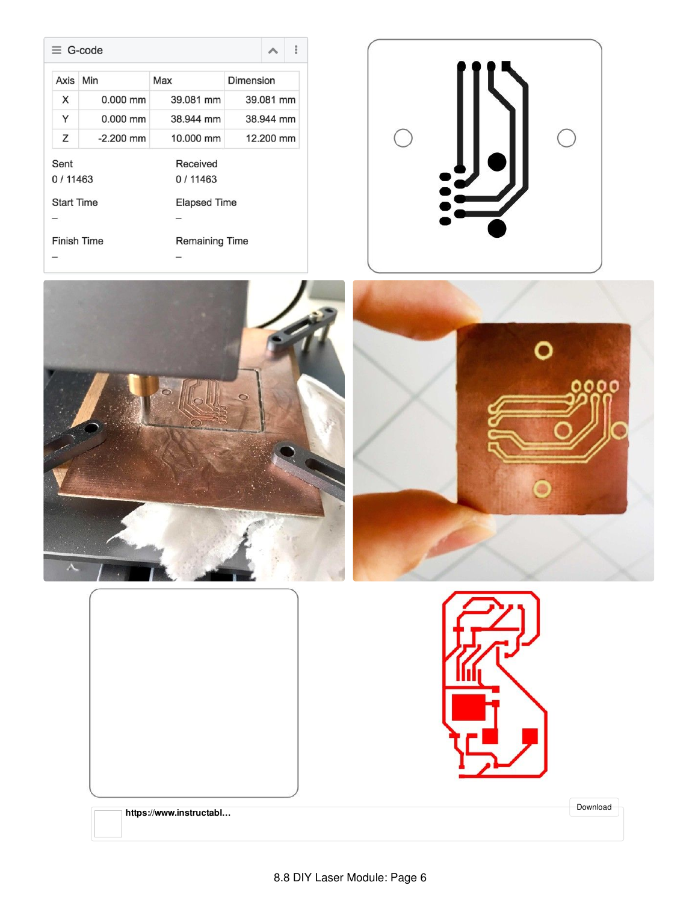|                   | $\equiv$ G-code |                       | o or                |  |  |
|-------------------|-----------------|-----------------------|---------------------|--|--|
| Axis              | Min             | Max                   | Dimension           |  |  |
| X                 | $0.000$ mm      | 39.081 mm             | 39.081 mm           |  |  |
| Y                 | $0.000$ mm      | 38.944 mm             | 38.944 mm           |  |  |
| Z                 | $-2.200$ mm     | 10.000 mm             | 12.200 mm           |  |  |
| Sent<br>0/11463   |                 | Received<br>0/11463   |                     |  |  |
| <b>Start Time</b> |                 |                       | <b>Elapsed Time</b> |  |  |
| Finish Time       |                 | <b>Remaining Time</b> |                     |  |  |









[Download](https://cdn.instructables.com/ORIG/FR9/5OIX/JGWJCIH4/FR95OIXJGWJCIH4.svg)

**https://www.instructabl...**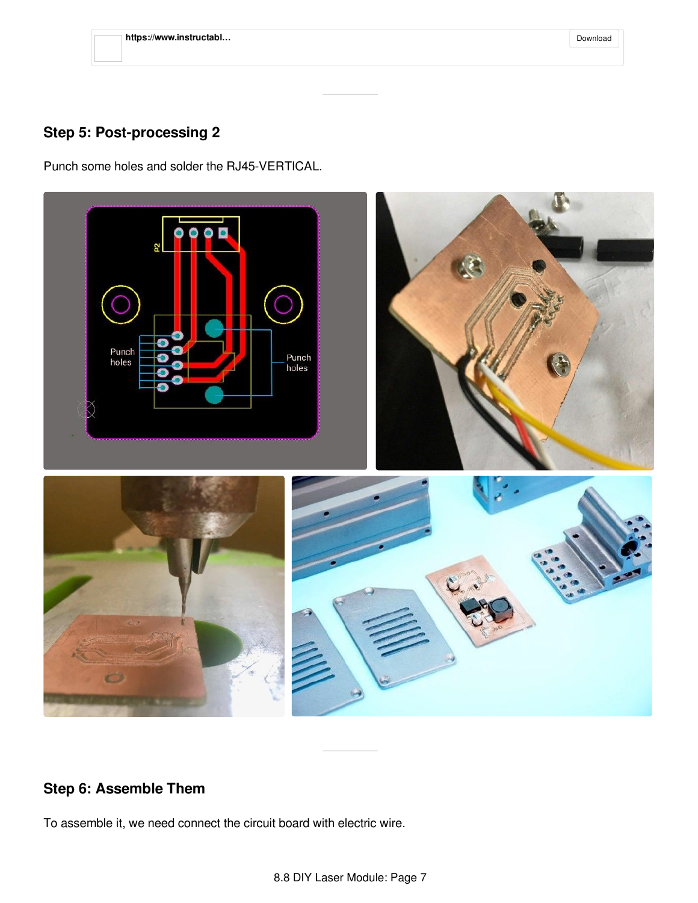| https://www.instructabl | Download |
|-------------------------|----------|
|-------------------------|----------|

# **Step 5: Post-processing 2**

Punch some holes and solder the RJ45-VERTICAL.



# **Step 6: Assemble Them**

To assemble it, we need connect the circuit board with electric wire.